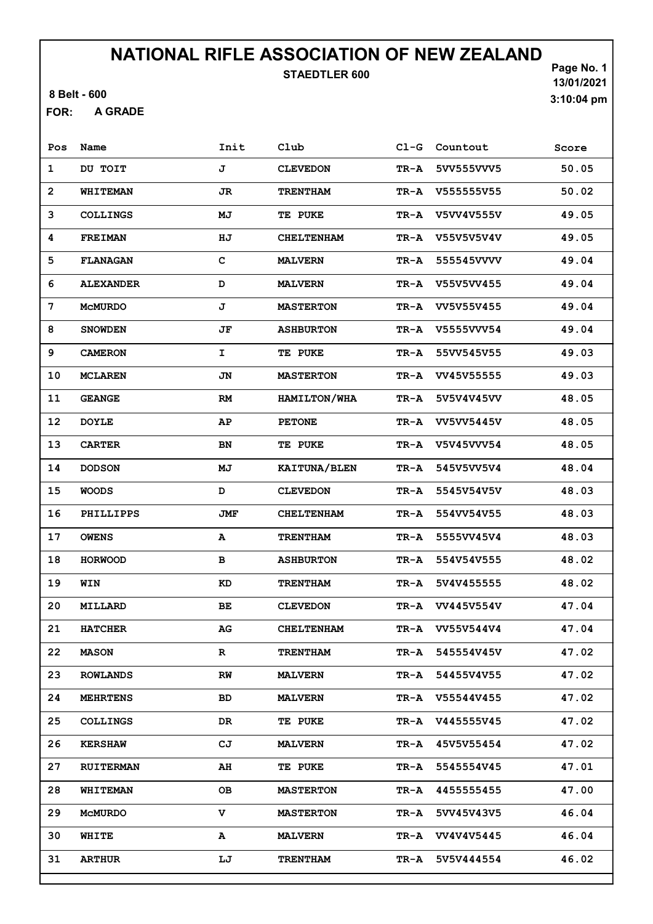STAEDTLER 600

8 Belt - 600

A GRADE FOR:

| Pos                     | Name             | Init         | Club              | $C1-G$ | Countout        | Score |
|-------------------------|------------------|--------------|-------------------|--------|-----------------|-------|
| $\mathbf{1}$            | DU TOIT          | J            | <b>CLEVEDON</b>   | TR-A   | 5VV555VVV5      | 50.05 |
| $\overline{\mathbf{c}}$ | <b>WHITEMAN</b>  | JR           | <b>TRENTHAM</b>   | TR-A   | V555555V55      | 50.02 |
| 3                       | <b>COLLINGS</b>  | МJ           | <b>TE PUKE</b>    | TR-A   | V5VV4V555V      | 49.05 |
| 4                       | <b>FREIMAN</b>   | ΗJ           | <b>CHELTENHAM</b> | TR-A   | V55V5V5V4V      | 49.05 |
| 5                       | <b>FLANAGAN</b>  | $\mathbf C$  | <b>MALVERN</b>    | TR-A   | 555545VVVV      | 49.04 |
| 6                       | <b>ALEXANDER</b> | D            | <b>MALVERN</b>    | TR-A   | V55V5VV455      | 49.04 |
| 7                       | <b>MCMURDO</b>   | J            | <b>MASTERTON</b>  | TR-A   | VV5V55V455      | 49.04 |
| 8                       | <b>SNOWDEN</b>   | JF           | <b>ASHBURTON</b>  | TR-A   | V5555VVV54      | 49.04 |
| 9                       | <b>CAMERON</b>   | $\mathbf{I}$ | <b>TE PUKE</b>    | TR-A   | 55VV545V55      | 49.03 |
| 10                      | <b>MCLAREN</b>   | JN           | <b>MASTERTON</b>  | TR-A   | VV45V55555      | 49.03 |
| 11                      | <b>GEANGE</b>    | RM           | HAMILTON/WHA      | TR-A   | 5V5V4V45VV      | 48.05 |
| 12                      | <b>DOYLE</b>     | AP           | <b>PETONE</b>     | TR-A   | VV5VV5445V      | 48.05 |
| 13                      | <b>CARTER</b>    | BN           | <b>TE PUKE</b>    | TR-A   | V5V45VVV54      | 48.05 |
| 14                      | <b>DODSON</b>    | МJ           | KAITUNA/BLEN      | TR-A   | 545V5VV5V4      | 48.04 |
| 15                      | <b>WOODS</b>     | D            | <b>CLEVEDON</b>   | TR-A   | 5545V54V5V      | 48.03 |
| 16                      | PHILLIPPS        | JMF          | <b>CHELTENHAM</b> | TR-A   | 554VV54V55      | 48.03 |
| 17                      | <b>OWENS</b>     | A            | <b>TRENTHAM</b>   | TR-A   | 5555VV45V4      | 48.03 |
| 18                      | <b>HORWOOD</b>   | в            | <b>ASHBURTON</b>  | TR-A   | 554V54V555      | 48.02 |
| 19                      | WIN              | KD           | <b>TRENTHAM</b>   | TR-A   | 5V4V455555      | 48.02 |
| 20                      | MILLARD          | BE.          | <b>CLEVEDON</b>   | TR-A   | VV445V554V      | 47.04 |
| 21                      | <b>HATCHER</b>   | AG           | <b>CHELTENHAM</b> | TR-A   | VV55V544V4      | 47.04 |
| 22                      | <b>MASON</b>     | R            | <b>TRENTHAM</b>   | TR-A   | 545554V45V      | 47.02 |
| 23                      | <b>ROWLANDS</b>  | RW           | <b>MALVERN</b>    | TR-A   | 54455V4V55      | 47.02 |
| 24                      | <b>MEHRTENS</b>  | BD           | <b>MALVERN</b>    |        | TR-A V55544V455 | 47.02 |
| 25                      | <b>COLLINGS</b>  | DR           | TE PUKE           |        | TR-A V445555V45 | 47.02 |
| 26                      | <b>KERSHAW</b>   | CJ           | <b>MALVERN</b>    | TR-A   | 45V5V55454      | 47.02 |
| 27                      | <b>RUITERMAN</b> | AH           | <b>TE PUKE</b>    | TR-A   | 5545554V45      | 47.01 |
| 28                      | <b>WHITEMAN</b>  | OВ           | <b>MASTERTON</b>  | TR-A   | 4455555455      | 47.00 |
| 29                      | MCMURDO          | v            | <b>MASTERTON</b>  | TR-A   | 5VV45V43V5      | 46.04 |
| 30                      | WHITE            | A            | <b>MALVERN</b>    | TR-A   | VV4V4V5445      | 46.04 |
| 31                      | <b>ARTHUR</b>    | LJ           | <b>TRENTHAM</b>   | TR-A   | 5V5V444554      | 46.02 |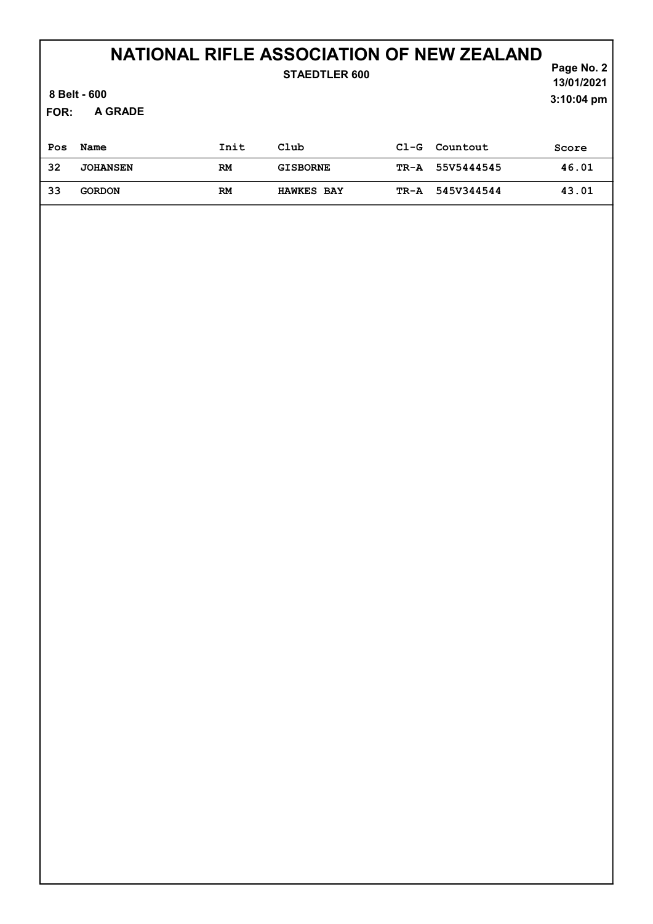| <b>STAEDTLER 600</b><br>8 Belt - 600<br>A GRADE<br>FOR: |                 |      |                   |        |            | Page No. 2<br>13/01/2021<br>$3:10:04$ pm |
|---------------------------------------------------------|-----------------|------|-------------------|--------|------------|------------------------------------------|
| Pos                                                     | Name            | Init | Club              | $C1-G$ | Countout   | Score                                    |
| 32                                                      | <b>JOHANSEN</b> | RM   | <b>GISBORNE</b>   | TR-A   | 55V5444545 | 46.01                                    |
| 33                                                      | <b>GORDON</b>   | RM   | <b>HAWKES BAY</b> | TR-A   | 545V344544 | 43.01                                    |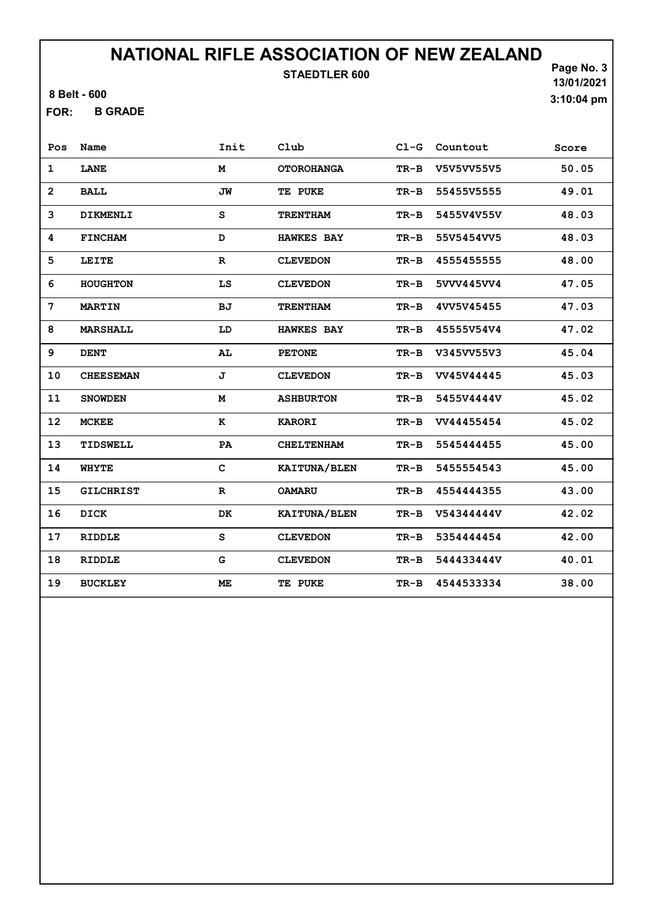STAEDTLER 600

8 Belt - 600

B GRADE FOR:

Page No. 3 13/01/2021 3:10:04 pm

| Pos            | Name             | Init        | Club              |        | Cl-G Countout | Score |
|----------------|------------------|-------------|-------------------|--------|---------------|-------|
| $\mathbf 1$    | <b>LANE</b>      | M           | <b>OTOROHANGA</b> | $TR-B$ | V5V5VV55V5    | 50.05 |
| $\overline{2}$ | <b>BALL</b>      | <b>JW</b>   | TE PUKE           | $TR-B$ | 55455V5555    | 49.01 |
| 3              | <b>DIKMENLI</b>  | s           | <b>TRENTHAM</b>   | $TR-B$ | 5455V4V55V    | 48.03 |
| 4              | <b>FINCHAM</b>   | D           | <b>HAWKES BAY</b> | $TR-B$ | 55V5454VV5    | 48.03 |
| 5              | <b>LEITE</b>     | $\mathbf R$ | <b>CLEVEDON</b>   | $TR-B$ | 4555455555    | 48.00 |
| 6              | <b>HOUGHTON</b>  | LS          | <b>CLEVEDON</b>   | $TR-B$ | 5VVV445VV4    | 47.05 |
| 7              | <b>MARTIN</b>    | <b>BJ</b>   | <b>TRENTHAM</b>   | $TR-B$ | 4VV5V45455    | 47.03 |
| 8              | <b>MARSHALL</b>  | LD          | <b>HAWKES BAY</b> | $TR-B$ | 45555V54V4    | 47.02 |
| 9              | <b>DENT</b>      | AL          | <b>PETONE</b>     | TR-B   | V345VV55V3    | 45.04 |
| 10             | <b>CHEESEMAN</b> | J           | <b>CLEVEDON</b>   | $TR-B$ | VV45V44445    | 45.03 |
| 11             | <b>SNOWDEN</b>   | M           | <b>ASHBURTON</b>  | $TR-B$ | 5455V4444V    | 45.02 |
| 12             | <b>MCKEE</b>     | к           | <b>KARORI</b>     | $TR-B$ | VV44455454    | 45.02 |
| 13             | TIDSWELL         | PA          | <b>CHELTENHAM</b> | $TR-B$ | 5545444455    | 45.00 |
| 14             | <b>WHYTE</b>     | $\mathbf C$ | KAITUNA/BLEN      | $TR-B$ | 5455554543    | 45.00 |
| 15             | <b>GILCHRIST</b> | $\mathbf R$ | <b>OAMARU</b>     | $TR-B$ | 4554444355    | 43.00 |
| 16             | <b>DICK</b>      | DK          | KAITUNA/BLEN      | $TR-B$ | V54344444V    | 42.02 |
| 17             | <b>RIDDLE</b>    | S           | <b>CLEVEDON</b>   | $TR-B$ | 5354444454    | 42.00 |
| 18             | <b>RIDDLE</b>    | G           | <b>CLEVEDON</b>   | $TR-B$ | 544433444V    | 40.01 |
| 19             | <b>BUCKLEY</b>   | ME          | TE PUKE           | $TR-B$ | 4544533334    | 38.00 |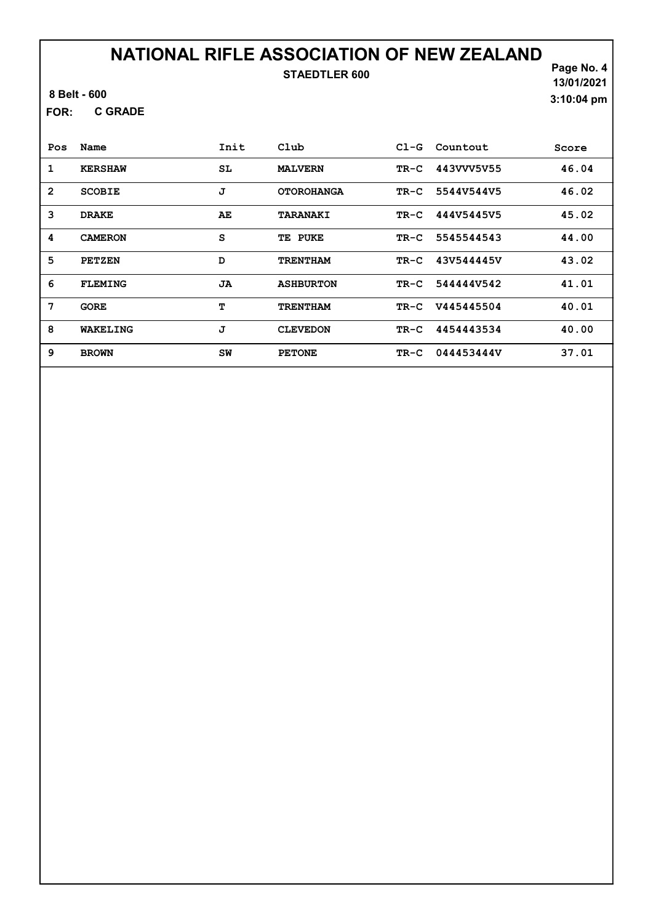8 Belt - 600

C GRADE FOR:

Page No. 4 13/01/2021 3:10:04 pm

| Pos            | Name           | Init | Club              | $C1-G$ | Countout   | Score |
|----------------|----------------|------|-------------------|--------|------------|-------|
| 1              | <b>KERSHAW</b> | SL   | <b>MALVERN</b>    | TR-C   | 443VVV5V55 | 46.04 |
| $\overline{2}$ | <b>SCOBIE</b>  | J    | <b>OTOROHANGA</b> | TR-C   | 5544V544V5 | 46.02 |
| 3              | <b>DRAKE</b>   | AE   | <b>TARANAKI</b>   | TR-C   | 444V5445V5 | 45.02 |
| 4              | <b>CAMERON</b> | S    | TE PUKE           | TR-C   | 5545544543 | 44.00 |
| 5              | <b>PETZEN</b>  | D    | <b>TRENTHAM</b>   | $TR-C$ | 43V544445V | 43.02 |
| 6              | <b>FLEMING</b> | JA   | <b>ASHBURTON</b>  | $TR-C$ | 544444V542 | 41.01 |
| 7              | <b>GORE</b>    | т    | <b>TRENTHAM</b>   | TR-C   | V445445504 | 40.01 |
| 8              | WAKELING       | J    | <b>CLEVEDON</b>   | $TR-C$ | 4454443534 | 40.00 |
| 9              | <b>BROWN</b>   | SW   | <b>PETONE</b>     | TR-C   | 044453444V | 37.01 |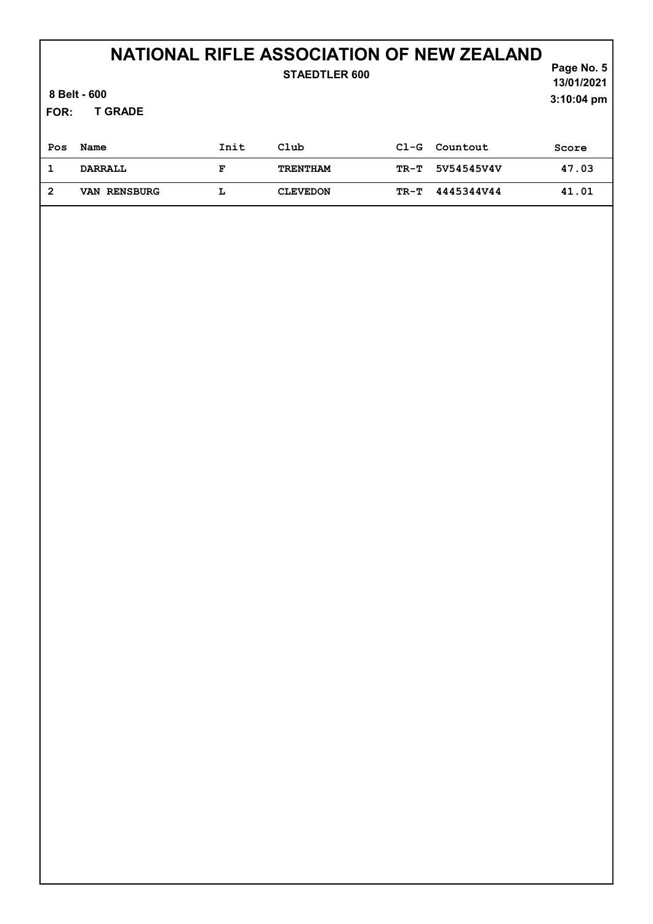| <b>STAEDTLER 600</b><br>8 Belt - 600<br><b>T GRADE</b><br>FOR: |                     |      |                 |        |            | Page No. 5<br>13/01/2021<br>$3:10:04$ pm |
|----------------------------------------------------------------|---------------------|------|-----------------|--------|------------|------------------------------------------|
| Pos                                                            | Name                | Init | Club            | $C1-G$ | Countout   | Score                                    |
| 1                                                              | <b>DARRALL</b>      | F    | <b>TRENTHAM</b> | TR-T   | 5V54545V4V | 47.03                                    |
| $\overline{2}$                                                 | <b>VAN RENSBURG</b> | L    | <b>CLEVEDON</b> | TR-T   | 4445344V44 | 41.01                                    |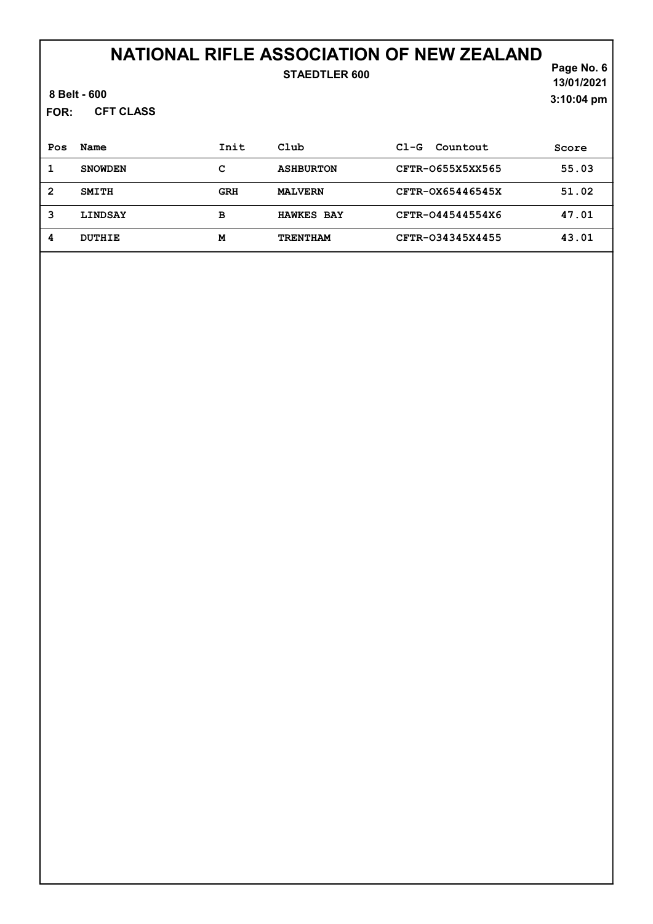| FOR:           | 8 Belt - 600<br><b>CFT CLASS</b> |            | <b>STAEDTLER 600</b> |                    | Page No. 6<br>13/01/2021<br>3:10:04 pm |
|----------------|----------------------------------|------------|----------------------|--------------------|----------------------------------------|
| Pos            | Name                             | Init       | Club                 | Countout<br>$C1-G$ | Score                                  |
| 1              | <b>SNOWDEN</b>                   | с          | <b>ASHBURTON</b>     | CFTR-0655X5XX565   | 55.03                                  |
| $\overline{2}$ | <b>SMITH</b>                     | <b>GRH</b> | <b>MALVERN</b>       | CFTR-0X65446545X   | 51.02                                  |
| 3              | <b>LINDSAY</b>                   | в          | <b>HAWKES BAY</b>    | CFTR-044544554X6   | 47.01                                  |
| 4              | <b>DUTHIE</b>                    | м          | <b>TRENTHAM</b>      | CFTR-034345X4455   | 43.01                                  |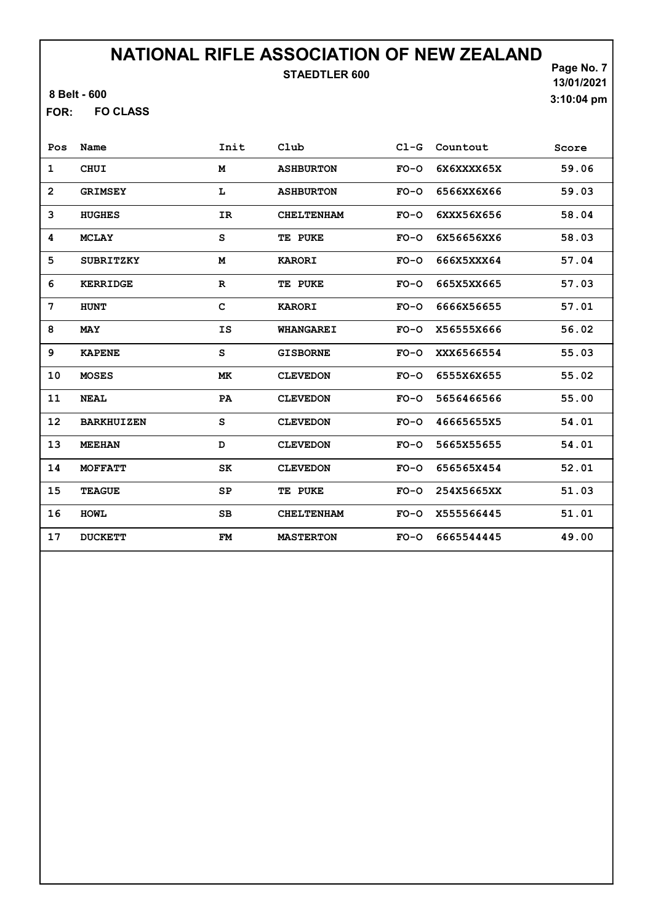8 Belt - 600

FO CLASS FOR:

| Pos               | Name              | Init        | Club              | $C1-G$ | Countout   | Score |
|-------------------|-------------------|-------------|-------------------|--------|------------|-------|
| $\mathbf 1$       | <b>CHUI</b>       | M           | <b>ASHBURTON</b>  | $FO-O$ | 6X6XXXX65X | 59.06 |
| $\overline{2}$    | <b>GRIMSEY</b>    | L           | <b>ASHBURTON</b>  | $FO-O$ | 6566XX6X66 | 59.03 |
| 3                 | <b>HUGHES</b>     | <b>IR</b>   | <b>CHELTENHAM</b> | $FO-O$ | 6XXX56X656 | 58.04 |
| 4                 | <b>MCLAY</b>      | S           | TE PUKE           | $FO-O$ | 6X56656XX6 | 58.03 |
| 5                 | <b>SUBRITZKY</b>  | M           | <b>KARORI</b>     | $FO-O$ | 666X5XXX64 | 57.04 |
| 6                 | <b>KERRIDGE</b>   | $\mathbf R$ | TE PUKE           | $FO-O$ | 665X5XX665 | 57.03 |
| 7                 | <b>HUNT</b>       | C           | <b>KARORI</b>     | $FO-O$ | 6666X56655 | 57.01 |
| 8                 | <b>MAY</b>        | IS          | <b>WHANGAREI</b>  | $FO-O$ | X56555X666 | 56.02 |
| 9                 | <b>KAPENE</b>     | S           | <b>GISBORNE</b>   | $FO-O$ | XXX6566554 | 55.03 |
| 10                | <b>MOSES</b>      | MK          | <b>CLEVEDON</b>   | $FO-O$ | 6555X6X655 | 55.02 |
| 11                | <b>NEAL</b>       | PA          | <b>CLEVEDON</b>   | $FO-O$ | 5656466566 | 55.00 |
| $12 \overline{ }$ | <b>BARKHUIZEN</b> | S           | <b>CLEVEDON</b>   | $FO-O$ | 46665655X5 | 54.01 |
| 13                | <b>MEEHAN</b>     | D           | <b>CLEVEDON</b>   | $FO-O$ | 5665X55655 | 54.01 |
| 14                | <b>MOFFATT</b>    | SK          | <b>CLEVEDON</b>   | $FO-O$ | 656565X454 | 52.01 |
| 15                | <b>TEAGUE</b>     | SP          | TE PUKE           | $FO-O$ | 254X5665XX | 51.03 |
| 16                | <b>HOMT</b>       | SB          | <b>CHELTENHAM</b> | $FO-O$ | X555566445 | 51.01 |
| 17                | <b>DUCKETT</b>    | FM          | <b>MASTERTON</b>  | $FO-O$ | 6665544445 | 49.00 |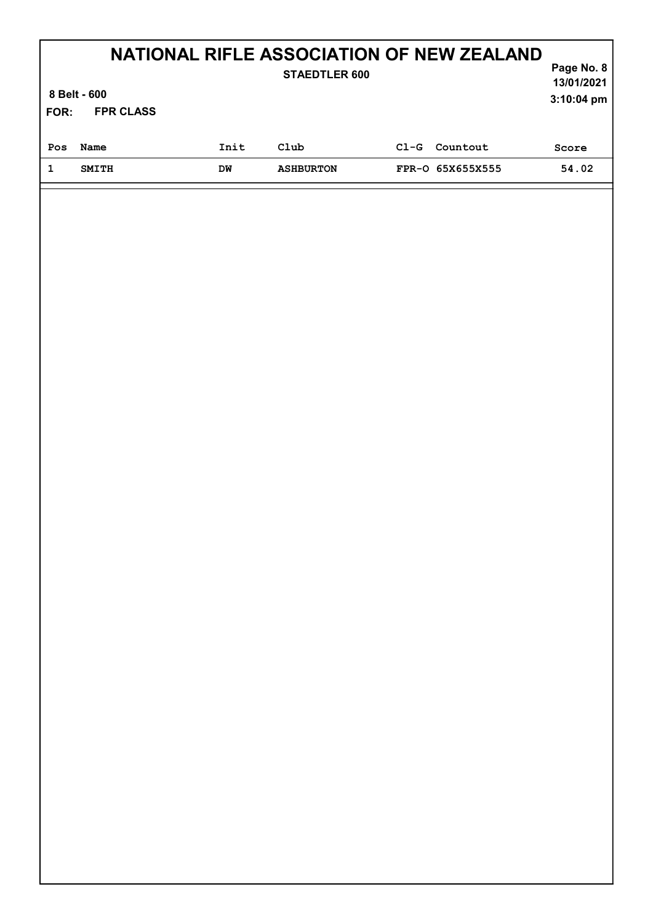| NATIONAL RIFLE ASSOCIATION OF NEW ZEALAND<br>Page No. 8<br><b>STAEDTLER 600</b> |                  |      |                  |        |                  |            |  |  |
|---------------------------------------------------------------------------------|------------------|------|------------------|--------|------------------|------------|--|--|
|                                                                                 | 8 Belt - 600     |      |                  |        |                  |            |  |  |
| FOR:                                                                            | <b>FPR CLASS</b> |      |                  |        |                  | 3:10:04 pm |  |  |
| Pos                                                                             | Name             | Init | Club             | $C1-G$ | Countout         | Score      |  |  |
| 1                                                                               | <b>SMITH</b>     | DW   | <b>ASHBURTON</b> |        | FPR-0 65X655X555 | 54.02      |  |  |
|                                                                                 |                  |      |                  |        |                  |            |  |  |